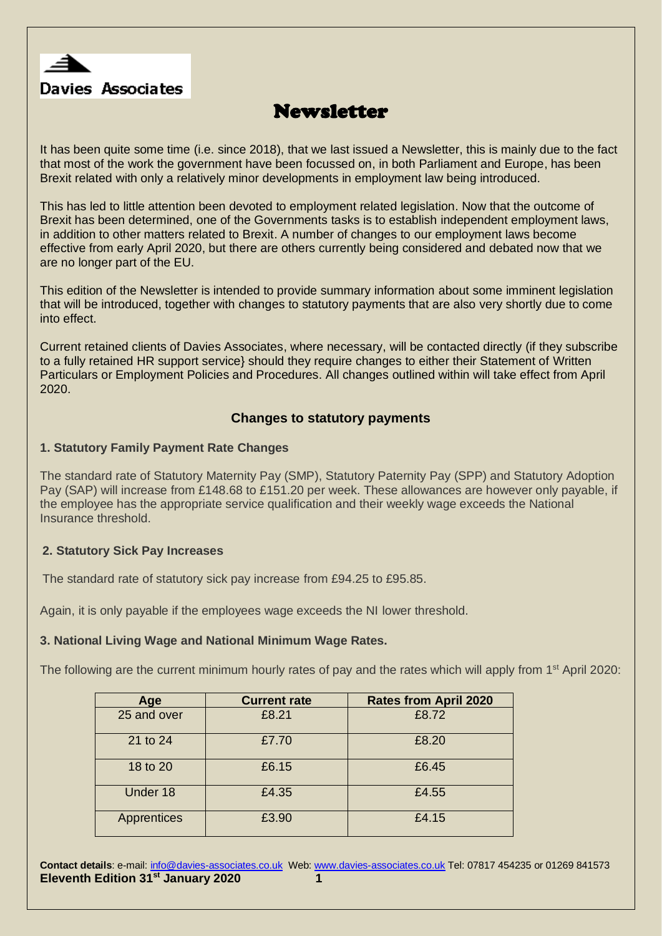

# **Newsletter**

It has been quite some time (i.e. since 2018), that we last issued a Newsletter, this is mainly due to the fact that most of the work the government have been focussed on, in both Parliament and Europe, has been Brexit related with only a relatively minor developments in employment law being introduced.

This has led to little attention been devoted to employment related legislation. Now that the outcome of Brexit has been determined, one of the Governments tasks is to establish independent employment laws, in addition to other matters related to Brexit. A number of changes to our employment laws become effective from early April 2020, but there are others currently being considered and debated now that we are no longer part of the EU.

This edition of the Newsletter is intended to provide summary information about some imminent legislation that will be introduced, together with changes to statutory payments that are also very shortly due to come into effect.

Current retained clients of Davies Associates, where necessary, will be contacted directly (if they subscribe to a fully retained HR support service} should they require changes to either their Statement of Written Particulars or Employment Policies and Procedures. All changes outlined within will take effect from April 2020.

# **Changes to statutory payments**

#### **1. Statutory Family Payment Rate Changes**

The standard rate of Statutory Maternity Pay (SMP), Statutory Paternity Pay (SPP) and Statutory Adoption Pay (SAP) will increase from £148.68 to £151.20 per week. These allowances are however only payable, if the employee has the appropriate service qualification and their weekly wage exceeds the National Insurance threshold.

#### **2. Statutory Sick Pay Increases**

The standard rate of statutory sick pay increase from £94.25 to £95.85.

Again, it is only payable if the employees wage exceeds the NI lower threshold.

#### **3. National Living Wage and National Minimum Wage Rates.**

The following are the current minimum hourly rates of pay and the rates which will apply from 1<sup>st</sup> April 2020:

| Age         | <b>Current rate</b> | <b>Rates from April 2020</b> |
|-------------|---------------------|------------------------------|
| 25 and over | £8.21               | £8.72                        |
| 21 to 24    | £7.70               | £8.20                        |
| 18 to 20    | £6.15               | £6.45                        |
| Under 18    | £4.35               | £4.55                        |
| Apprentices | £3.90               | £4.15                        |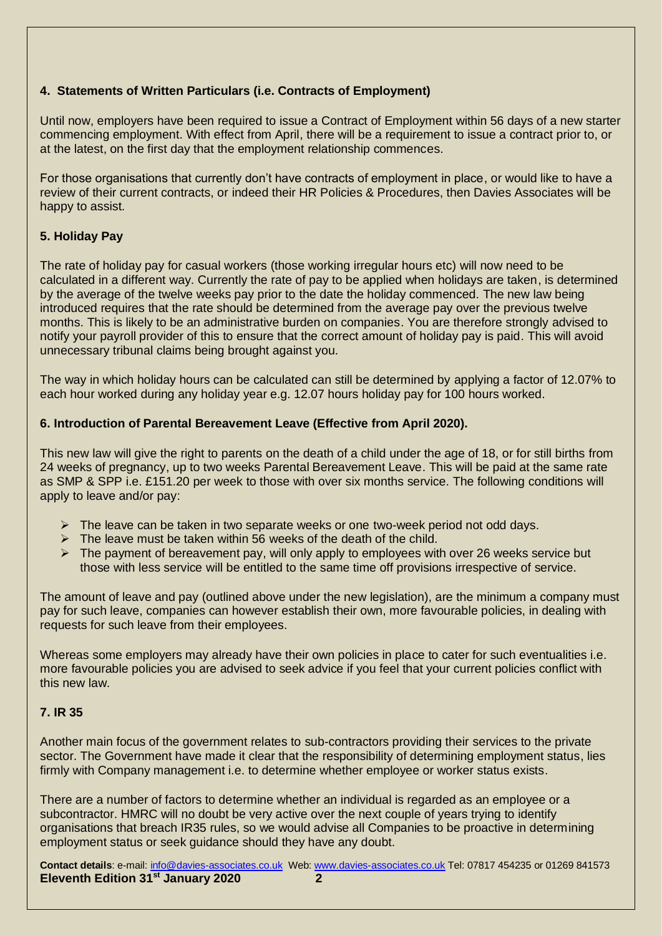# **4. Statements of Written Particulars (i.e. Contracts of Employment)**

Until now, employers have been required to issue a Contract of Employment within 56 days of a new starter commencing employment. With effect from April, there will be a requirement to issue a contract prior to, or at the latest, on the first day that the employment relationship commences.

For those organisations that currently don't have contracts of employment in place, or would like to have a review of their current contracts, or indeed their HR Policies & Procedures, then Davies Associates will be happy to assist.

# **5. Holiday Pay**

The rate of holiday pay for casual workers (those working irregular hours etc) will now need to be calculated in a different way. Currently the rate of pay to be applied when holidays are taken, is determined by the average of the twelve weeks pay prior to the date the holiday commenced. The new law being introduced requires that the rate should be determined from the average pay over the previous twelve months. This is likely to be an administrative burden on companies. You are therefore strongly advised to notify your payroll provider of this to ensure that the correct amount of holiday pay is paid. This will avoid unnecessary tribunal claims being brought against you.

The way in which holiday hours can be calculated can still be determined by applying a factor of 12.07% to each hour worked during any holiday year e.g. 12.07 hours holiday pay for 100 hours worked.

## **6. Introduction of Parental Bereavement Leave (Effective from April 2020).**

This new law will give the right to parents on the death of a child under the age of 18, or for still births from 24 weeks of pregnancy, up to two weeks Parental Bereavement Leave. This will be paid at the same rate as SMP & SPP i.e. £151.20 per week to those with over six months service. The following conditions will apply to leave and/or pay:

- $\triangleright$  The leave can be taken in two separate weeks or one two-week period not odd days.
- $\triangleright$  The leave must be taken within 56 weeks of the death of the child.
- $\triangleright$  The payment of bereavement pay, will only apply to employees with over 26 weeks service but those with less service will be entitled to the same time off provisions irrespective of service.

The amount of leave and pay (outlined above under the new legislation), are the minimum a company must pay for such leave, companies can however establish their own, more favourable policies, in dealing with requests for such leave from their employees.

Whereas some employers may already have their own policies in place to cater for such eventualities i.e. more favourable policies you are advised to seek advice if you feel that your current policies conflict with this new law.

#### **7. IR 35**

Another main focus of the government relates to sub-contractors providing their services to the private sector. The Government have made it clear that the responsibility of determining employment status, lies firmly with Company management i.e. to determine whether employee or worker status exists.

There are a number of factors to determine whether an individual is regarded as an employee or a subcontractor. HMRC will no doubt be very active over the next couple of years trying to identify organisations that breach IR35 rules, so we would advise all Companies to be proactive in determining employment status or seek guidance should they have any doubt.

**Contact details**: e-mail: [info@davies-associates.co.uk](mailto:info@davies-associates.co.uk) Web: [www.davies-associates.co.uk](http://www.davies-associates.co.uk/) Tel: 07817 454235 or 01269 841573 **Eleventh Edition 31st January 2020 2**